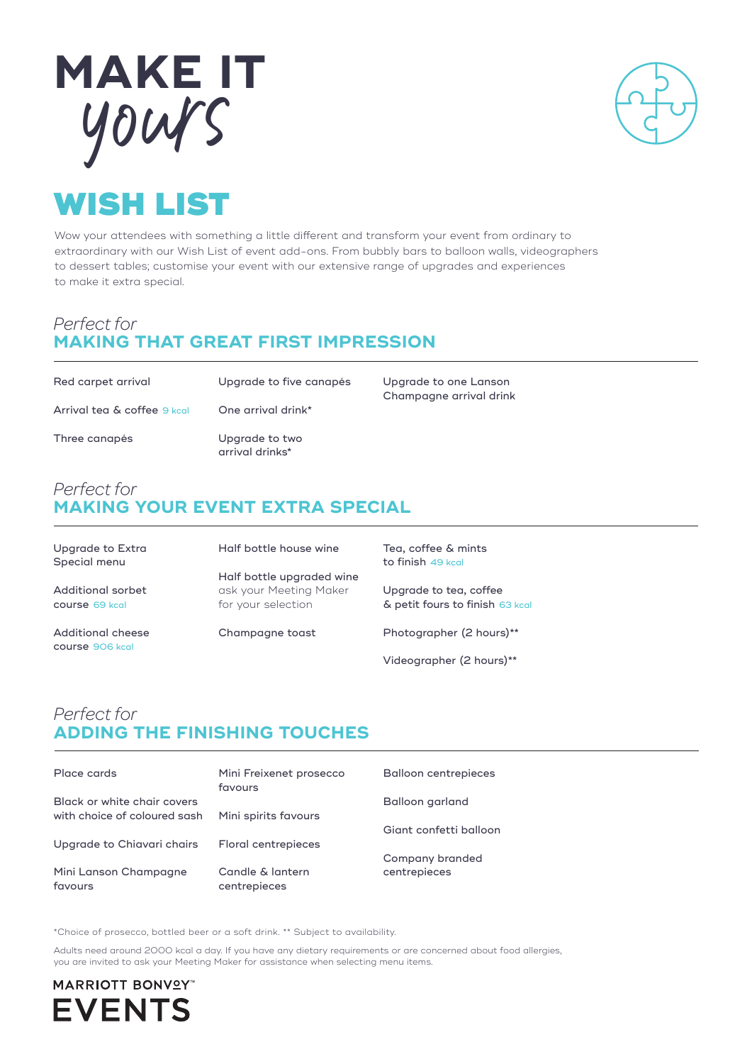



# WISH LIST

Wow your attendees with something a little different and transform your event from ordinary to extraordinary with our Wish List of event add-ons. From bubbly bars to balloon walls, videographers to dessert tables; customise your event with our extensive range of upgrades and experiences to make it extra special.

### *Perfect for*  **MAKING THAT GREAT FIRST IMPRESSION**

| Red carpet arrival          | Upgrade to five canapés           |
|-----------------------------|-----------------------------------|
| Arrival tea & coffee 9 kcal | One arrival drink*                |
| Three canapés               | Upgrade to two<br>arrival drinks* |

## *Perfect for*  **MAKING YOUR EVENT EXTRA SPECIAL**

| Upgrade to Extra<br>Special menu     | Half bottle house wine                                                    | Tea, coffee & mints<br>to finish 49 kcal                  |
|--------------------------------------|---------------------------------------------------------------------------|-----------------------------------------------------------|
| Additional sorbet<br>course 69 kcal  | Half bottle upgraded wine<br>ask your Meeting Maker<br>for your selection | Upgrade to tea, coffee<br>& petit fours to finish 63 kcal |
| Additional cheese<br>course 906 kcal | Champagne toast                                                           | Photographer (2 hours)**                                  |

Videographer (2 hours)\*\*

Upgrade to one Lanson Champagne arrival drink

# *Perfect for*  **ADDING THE FINISHING TOUCHES**

| Place cards                  | Mini Freixenet prosecco<br>favours | <b>Balloon centrepieces</b>     |
|------------------------------|------------------------------------|---------------------------------|
| Black or white chair covers  |                                    | Balloon garland                 |
| with choice of coloured sash | Mini spirits favours               |                                 |
|                              |                                    | Giant confetti balloon          |
| Upgrade to Chiavari chairs   | Floral centrepieces                |                                 |
| Mini Lanson Champagne        | Candle & lantern                   | Company branded<br>centrepieces |
| favours                      | centrepieces                       |                                 |

\*Choice of prosecco, bottled beer or a soft drink. \*\* Subject to availability.

Adults need around 2000 kcal a day. If you have any dietary requirements or are concerned about food allergies, you are invited to ask your Meeting Maker for assistance when selecting menu items.

**MARRIOTT BONVºY EVENTS**